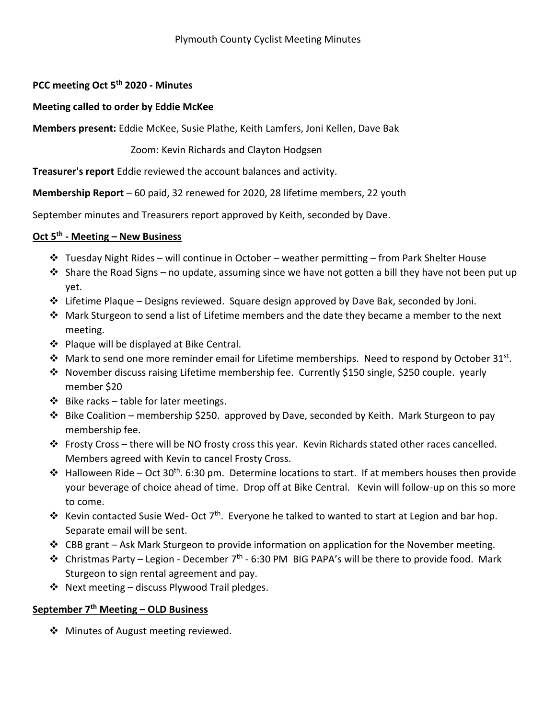## **PCC meeting Oct 5th 2020 - Minutes**

## **Meeting called to order by Eddie McKee**

**Members present:** Eddie McKee, Susie Plathe, Keith Lamfers, Joni Kellen, Dave Bak

Zoom: Kevin Richards and Clayton Hodgsen

**Treasurer's report** Eddie reviewed the account balances and activity.

**Membership Report** – 60 paid, 32 renewed for 2020, 28 lifetime members, 22 youth

September minutes and Treasurers report approved by Keith, seconded by Dave.

## **Oct 5th - Meeting – New Business**

- \* Tuesday Night Rides will continue in October weather permitting from Park Shelter House
- $\clubsuit$  Share the Road Signs no update, assuming since we have not gotten a bill they have not been put up yet.
- $\div$  Lifetime Plaque Designs reviewed. Square design approved by Dave Bak, seconded by Joni.
- $\clubsuit$  Mark Sturgeon to send a list of Lifetime members and the date they became a member to the next meeting.
- ❖ Plaque will be displayed at Bike Central.
- ◆ Mark to send one more reminder email for Lifetime memberships. Need to respond by October 31<sup>st</sup>.
- November discuss raising Lifetime membership fee. Currently \$150 single, \$250 couple. yearly member \$20
- $\div$  Bike racks table for later meetings.
- $\cdot \cdot$  Bike Coalition membership \$250. approved by Dave, seconded by Keith. Mark Sturgeon to pay membership fee.
- $\clubsuit$  Frosty Cross there will be NO frosty cross this year. Kevin Richards stated other races cancelled. Members agreed with Kevin to cancel Frosty Cross.
- $\cdot \cdot$  Halloween Ride Oct 30<sup>th</sup>. 6:30 pm. Determine locations to start. If at members houses then provide your beverage of choice ahead of time. Drop off at Bike Central. Kevin will follow-up on this so more to come.
- External Contacted Susie Wed- Oct 7<sup>th</sup>. Everyone he talked to wanted to start at Legion and bar hop. Separate email will be sent.
- $\div$  CBB grant Ask Mark Sturgeon to provide information on application for the November meeting.
- $\cdot \cdot$  Christmas Party Legion December 7<sup>th</sup> 6:30 PM BIG PAPA's will be there to provide food. Mark Sturgeon to sign rental agreement and pay.
- $\cdot \cdot$  Next meeting discuss Plywood Trail pledges.

## **September 7th Meeting – OLD Business**

❖ Minutes of August meeting reviewed.